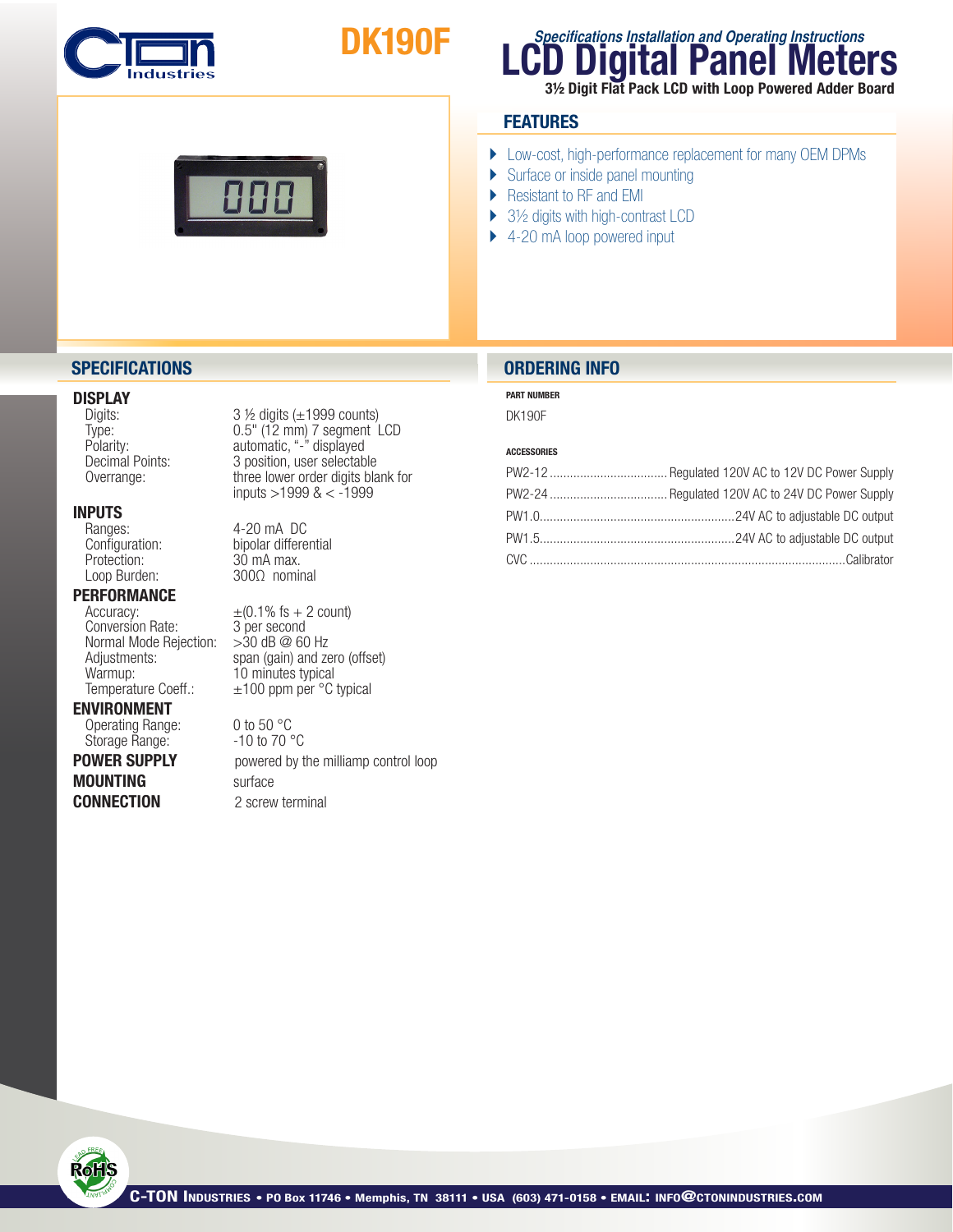

# DK190F

### **LCD Digital Panel Meters Specifications Installation and Operating Instructions**

3½ Digit Flat Pack LCD with Loop Powered Adder Board

### **FEATURES**

- } Low-cost, high-performance replacement for many OEM DPMs
- ▶ Surface or inside panel mounting
- Resistant to RF and EMI
- ▶ 3½ digits with high-contrast LCD
- ▶ 4-20 mA loop powered input

### **DISPLAY**<br>Digits:

### **INPUTS**<br>Ranges:

Ranges: 4-20 mA DC<br>Configuration: bipolar differe Protection: 30 mA max.<br>Loop Burden: 300Ω nomir

## **PERFORMANCE**<br>Accuracy:

Conversion Rate:  $3$  per second<br>Normal Mode Rejection:  $>30$  dB @ 60 Hz Normal Mode Rejection:<br>Adjustments: Warmup:  $\frac{10 \text{ minutes}}{100 \text{ ppm}}$  and  $\frac{1000}{1000}$  and  $\frac{1000}{1000}$  and  $\frac{1000}{1000}$  and  $\frac{1000}{1000}$  and  $\frac{1000}{1000}$  and  $\frac{1000}{1000}$  and  $\frac{1000}{1000}$  and  $\frac{1000}{1000}$  and  $\frac{1000}{1000}$  and  $\frac{100$ 

#### ENVIRONMENT

Operating Range: 0 to 50 °C<br>Storage Range: - 10 to 70 °C Storage Range:

**MOUNTING** surface

 $3$  ½ digits ( $\pm$ 1999 counts) Type: 0.5" (12 mm) 7 segment LCD Polarity: automatic, "-" displayed<br>Decimal Points: 3 position, user selectab Decimal Points: 3 position, user selectable<br>Overrange: three lower order digits bla three lower order digits blank for inputs  $>$ 1999 & < -1999

Configuration: bipolar differential<br>Protection: 30 mA max. 300Ω nominal

 $\pm$ (0.1% fs + 2 count)<br>3 per second Adjustments: span (gain) and zero (offset)<br>
Warmup: 10 minutes typical  $±100$  ppm per  $°C$  typical

**POWER SUPPLY** powered by the milliamp control loop **CONNECTION** 2 screw terminal

### **SPECIFICATIONS ORDERING INFO**

#### PART NUMBER

DK190F

#### ACCESSORIES